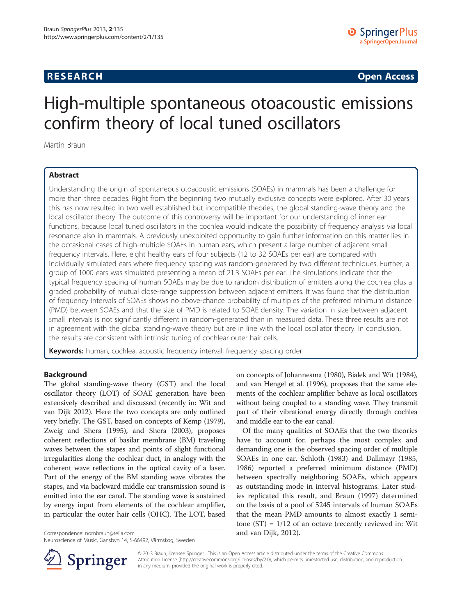# <span id="page-0-0"></span>**RESEARCH CHINESE ARCH CHINESE ARCH CHINESE ARCH <b>CHINESE ARCH**

# High-multiple spontaneous otoacoustic emissions confirm theory of local tuned oscillators

Martin Braun

## Abstract

Understanding the origin of spontaneous otoacoustic emissions (SOAEs) in mammals has been a challenge for more than three decades. Right from the beginning two mutually exclusive concepts were explored. After 30 years this has now resulted in two well established but incompatible theories, the global standing-wave theory and the local oscillator theory. The outcome of this controversy will be important for our understanding of inner ear functions, because local tuned oscillators in the cochlea would indicate the possibility of frequency analysis via local resonance also in mammals. A previously unexploited opportunity to gain further information on this matter lies in the occasional cases of high-multiple SOAEs in human ears, which present a large number of adjacent small frequency intervals. Here, eight healthy ears of four subjects (12 to 32 SOAEs per ear) are compared with individually simulated ears where frequency spacing was random-generated by two different techniques. Further, a group of 1000 ears was simulated presenting a mean of 21.3 SOAEs per ear. The simulations indicate that the typical frequency spacing of human SOAEs may be due to random distribution of emitters along the cochlea plus a graded probability of mutual close-range suppression between adjacent emitters. It was found that the distribution of frequency intervals of SOAEs shows no above-chance probability of multiples of the preferred minimum distance (PMD) between SOAEs and that the size of PMD is related to SOAE density. The variation in size between adjacent small intervals is not significantly different in random-generated than in measured data. These three results are not in agreement with the global standing-wave theory but are in line with the local oscillator theory. In conclusion, the results are consistent with intrinsic tuning of cochlear outer hair cells.

Keywords: human, cochlea, acoustic frequency interval, frequency spacing order

## Background

The global standing-wave theory (GST) and the local oscillator theory (LOT) of SOAE generation have been extensively described and discussed (recently in: Wit and van Dijk [2012](#page-9-0)). Here the two concepts are only outlined very briefly. The GST, based on concepts of Kemp [\(1979](#page-9-0)), Zweig and Shera [\(1995\)](#page-9-0), and Shera [\(2003](#page-9-0)), proposes coherent reflections of basilar membrane (BM) traveling waves between the stapes and points of slight functional irregularities along the cochlear duct, in analogy with the coherent wave reflections in the optical cavity of a laser. Part of the energy of the BM standing wave vibrates the stapes, and via backward middle ear transmission sound is emitted into the ear canal. The standing wave is sustained by energy input from elements of the cochlear amplifier, in particular the outer hair cells (OHC). The LOT, based



Of the many qualities of SOAEs that the two theories have to account for, perhaps the most complex and demanding one is the observed spacing order of multiple SOAEs in one ear. Schloth [\(1983\)](#page-9-0) and Dallmayr ([1985](#page-9-0), [1986](#page-9-0)) reported a preferred minimum distance (PMD) between spectrally neighboring SOAEs, which appears as outstanding mode in interval histograms. Later studies replicated this result, and Braun ([1997](#page-8-0)) determined on the basis of a pool of 5245 intervals of human SOAEs that the mean PMD amounts to almost exactly 1 semitone  $(ST) = 1/12$  of an octave (recently reviewed in: Wit Correspondence: [nombraun@telia.com](mailto:nombraun@telia.com) and van Dijk, [2012](#page-9-0)).



© 2013 Braun; licensee Springer. This is an Open Access article distributed under the terms of the Creative Commons Attribution License [\(http://creativecommons.org/licenses/by/2.0\)](http://creativecommons.org/licenses/by/2.0), which permits unrestricted use, distribution, and reproduction in any medium, provided the original work is properly cited.

Neuroscience of Music, Gansbyn 14, S-66492, Värmskog, Sweden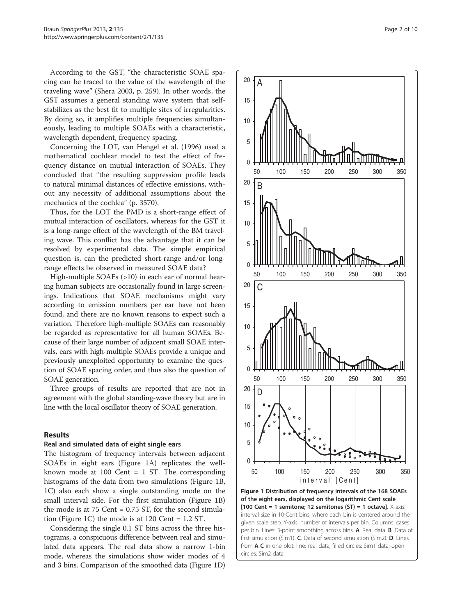<span id="page-1-0"></span>According to the GST, "the characteristic SOAE spacing can be traced to the value of the wavelength of the traveling wave" (Shera [2003](#page-9-0), p. 259). In other words, the GST assumes a general standing wave system that selfstabilizes as the best fit to multiple sites of irregularities. By doing so, it amplifies multiple frequencies simultaneously, leading to multiple SOAEs with a characteristic, wavelength dependent, frequency spacing.

Concerning the LOT, van Hengel et al. ([1996](#page-9-0)) used a mathematical cochlear model to test the effect of frequency distance on mutual interaction of SOAEs. They concluded that "the resulting suppression profile leads to natural minimal distances of effective emissions, without any necessity of additional assumptions about the mechanics of the cochlea" (p. 3570).

Thus, for the LOT the PMD is a short-range effect of mutual interaction of oscillators, whereas for the GST it is a long-range effect of the wavelength of the BM traveling wave. This conflict has the advantage that it can be resolved by experimental data. The simple empirical question is, can the predicted short-range and/or longrange effects be observed in measured SOAE data?

High-multiple SOAEs (>10) in each ear of normal hearing human subjects are occasionally found in large screenings. Indications that SOAE mechanisms might vary according to emission numbers per ear have not been found, and there are no known reasons to expect such a variation. Therefore high-multiple SOAEs can reasonably be regarded as representative for all human SOAEs. Because of their large number of adjacent small SOAE intervals, ears with high-multiple SOAEs provide a unique and previously unexploited opportunity to examine the question of SOAE spacing order, and thus also the question of SOAE generation.

Three groups of results are reported that are not in agreement with the global standing-wave theory but are in line with the local oscillator theory of SOAE generation.

## Results

#### Real and simulated data of eight single ears

The histogram of frequency intervals between adjacent SOAEs in eight ears (Figure 1A) replicates the wellknown mode at 100 Cent = 1 ST. The corresponding histograms of the data from two simulations (Figure 1B, 1C) also each show a single outstanding mode on the small interval side. For the first simulation (Figure 1B) the mode is at  $75$  Cent =  $0.75$  ST, for the second simulation (Figure 1C) the mode is at 120 Cent = 1.2 ST.

Considering the single 0.1 ST bins across the three histograms, a conspicuous difference between real and simulated data appears. The real data show a narrow 1-bin mode, whereas the simulations show wider modes of 4 and 3 bins. Comparison of the smoothed data (Figure 1D)



[100 Cent = 1 semitone; 12 semitones (ST) = 1 octave].  $X$ -axis: interval size in 10-Cent bins, where each bin is centered around the given scale step. Y-axis: number of intervals per bin. Columns: cases per bin. Lines: 3-point smoothing across bins. A. Real data. B. Data of first simulation (Sim1). C. Data of second simulation (Sim2). D. Lines from  $A-C$  in one plot: line: real data; filled circles: Sim1 data; open circles: Sim2 data.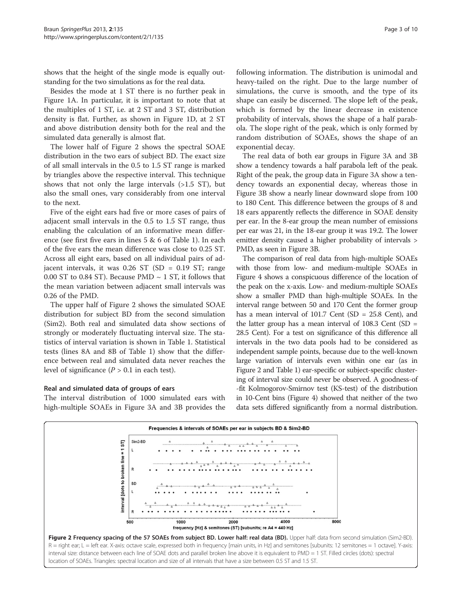<span id="page-2-0"></span>shows that the height of the single mode is equally outstanding for the two simulations as for the real data.

Besides the mode at 1 ST there is no further peak in Figure [1A](#page-1-0). In particular, it is important to note that at the multiples of 1 ST, i.e. at 2 ST and 3 ST, distribution density is flat. Further, as shown in Figure [1](#page-1-0)D, at 2 ST and above distribution density both for the real and the simulated data generally is almost flat.

The lower half of Figure 2 shows the spectral SOAE distribution in the two ears of subject BD. The exact size of all small intervals in the 0.5 to 1.5 ST range is marked by triangles above the respective interval. This technique shows that not only the large intervals (>1.5 ST), but also the small ones, vary considerably from one interval to the next.

Five of the eight ears had five or more cases of pairs of adjacent small intervals in the 0.5 to 1.5 ST range, thus enabling the calculation of an informative mean difference (see first five ears in lines 5 & 6 of Table [1](#page-3-0)). In each of the five ears the mean difference was close to 0.25 ST. Across all eight ears, based on all individual pairs of adjacent intervals, it was 0.26 ST (SD = 0.19 ST; range 0.00 ST to 0.84 ST). Because PMD  $\sim$  1 ST, it follows that the mean variation between adjacent small intervals was 0.26 of the PMD.

The upper half of Figure 2 shows the simulated SOAE distribution for subject BD from the second simulation (Sim2). Both real and simulated data show sections of strongly or moderately fluctuating interval size. The statistics of interval variation is shown in Table [1](#page-3-0). Statistical tests (lines 8A and 8B of Table [1\)](#page-3-0) show that the difference between real and simulated data never reaches the level of significance  $(P > 0.1$  in each test).

## Real and simulated data of groups of ears

The interval distribution of 1000 simulated ears with high-multiple SOAEs in Figure [3](#page-4-0)A and [3B](#page-4-0) provides the

following information. The distribution is unimodal and heavy-tailed on the right. Due to the large number of simulations, the curve is smooth, and the type of its shape can easily be discerned. The slope left of the peak, which is formed by the linear decrease in existence probability of intervals, shows the shape of a half parabola. The slope right of the peak, which is only formed by random distribution of SOAEs, shows the shape of an exponential decay.

The real data of both ear groups in Figure [3A](#page-4-0) and [3B](#page-4-0) show a tendency towards a half parabola left of the peak. Right of the peak, the group data in Figure [3](#page-4-0)A show a tendency towards an exponential decay, whereas those in Figure [3](#page-4-0)B show a nearly linear downward slope from 100 to 180 Cent. This difference between the groups of 8 and 18 ears apparently reflects the difference in SOAE density per ear. In the 8-ear group the mean number of emissions per ear was 21, in the 18-ear group it was 19.2. The lower emitter density caused a higher probability of intervals > PMD, as seen in Figure [3B](#page-4-0).

The comparison of real data from high-multiple SOAEs with those from low- and medium-multiple SOAEs in Figure [4](#page-4-0) shows a conspicuous difference of the location of the peak on the x-axis. Low- and medium-multiple SOAEs show a smaller PMD than high-multiple SOAEs. In the interval range between 50 and 170 Cent the former group has a mean interval of 101.7 Cent (SD = 25.8 Cent), and the latter group has a mean interval of  $108.3$  Cent (SD = 28.5 Cent). For a test on significance of this difference all intervals in the two data pools had to be considered as independent sample points, because due to the well-known large variation of intervals even within one ear (as in Figure 2 and Table [1\)](#page-3-0) ear-specific or subject-specific clustering of interval size could never be observed. A goodness-of -fit Kolmogorov-Smirnov test (KS-test) of the distribution in 10-Cent bins (Figure [4\)](#page-4-0) showed that neither of the two data sets differed significantly from a normal distribution.

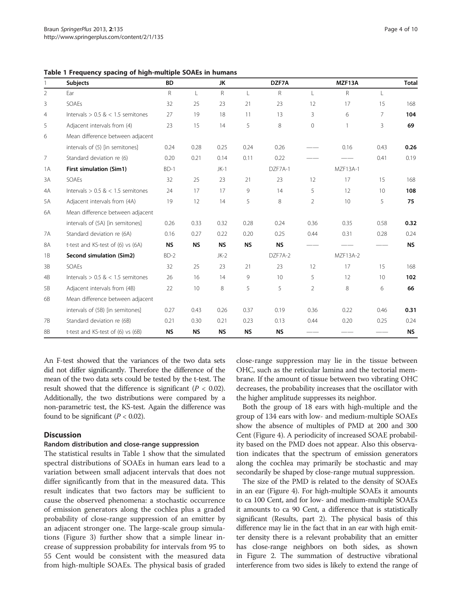<span id="page-3-0"></span>Table 1 Frequency spacing of high-multiple SOAEs in humans

|                | <b>Subjects</b>                       | <b>BD</b>    |              | JK.          |              | DZF7A           |                | MZF13A          |                | <b>Total</b> |
|----------------|---------------------------------------|--------------|--------------|--------------|--------------|-----------------|----------------|-----------------|----------------|--------------|
| $\overline{2}$ | Ear                                   | $\mathsf{R}$ | $\mathsf{L}$ | $\mathsf{R}$ | $\mathsf{L}$ | $\mathsf{R}$    | L              | R               | L              |              |
| 3              | SOAEs                                 | 32           | 25           | 23           | 21           | 23              | 12             | 17              | 15             | 168          |
| $\overline{4}$ | Intervals $> 0.5$ & $< 1.5$ semitones | 27           | 19           | 18           | 11           | 13              | 3              | 6               | $\overline{7}$ | 104          |
| 5              | Adjacent intervals from (4)           | 23           | 15           | 14           | 5            | 8               | $\mathbf{0}$   | $\overline{1}$  | 3              | 69           |
| 6              | Mean difference between adjacent      |              |              |              |              |                 |                |                 |                |              |
|                | intervals of (5) [in semitones]       | 0.24         | 0.28         | 0.25         | 0.24         | 0.26            |                | 0.16            | 0.43           | 0.26         |
| 7              | Standard deviation re (6)             | 0.20         | 0.21         | 0.14         | 0.11         | 0.22            |                |                 | 0.41           | 0.19         |
| 1 A            | First simulation (Sim1)               | $BD-1$       |              | $JK-1$       |              | DZF7A-1         |                | <b>MZF13A-1</b> |                |              |
| 3A             | SOAEs                                 | 32           | 25           | 23           | 21           | 23              | 12             | 17              | 15             | 168          |
| 4A             | Intervals $> 0.5$ & $< 1.5$ semitones | 24           | 17           | 17           | 9            | 14              | 5              | 12              | 10             | 108          |
| 5A             | Adjacent intervals from (4A)          | 19           | 12           | 14           | 5            | 8               | $\overline{2}$ | 10              | 5              | 75           |
| 6A             | Mean difference between adjacent      |              |              |              |              |                 |                |                 |                |              |
|                | intervals of (5A) [in semitones]      | 0.26         | 0.33         | 0.32         | 0.28         | 0.24            | 0.36           | 0.35            | 0.58           | 0.32         |
| <b>7A</b>      | Standard deviation re (6A)            | 0.16         | 0.27         | 0.22         | 0.20         | 0.25            | 0.44           | 0.31            | 0.28           | 0.24         |
| <b>8A</b>      | t-test and KS-test of (6) vs (6A)     | <b>NS</b>    | <b>NS</b>    | <b>NS</b>    | <b>NS</b>    | <b>NS</b>       |                |                 |                | <b>NS</b>    |
| 1B             | Second simulation (Sim2)              | $BD-2$       |              | $JK-2$       |              | DZF7A-2         |                | MZF13A-2        |                |              |
| 3B             | SOAEs                                 | 32           | 25           | 23           | 21           | 23              | 12             | 17              | 15             | 168          |
| 4B             | Intervals $> 0.5$ & < 1.5 semitones   | 26           | 16           | 14           | 9            | 10 <sup>°</sup> | 5              | 12              | 10             | 102          |
| 5B             | Adjacent intervals from (4B)          | 22           | 10           | 8            | 5            | 5               | 2              | 8               | 6              | 66           |
| 6B             | Mean difference between adjacent      |              |              |              |              |                 |                |                 |                |              |
|                | intervals of (5B) [in semitones]      | 0.27         | 0.43         | 0.26         | 0.37         | 0.19            | 0.36           | 0.22            | 0.46           | 0.31         |
| 7B             | Standard deviation re (6B)            | 0.21         | 0.30         | 0.21         | 0.23         | 0.13            | 0.44           | 0.20            | 0.25           | 0.24         |
| 8B             | t-test and KS-test of (6) vs (6B)     | <b>NS</b>    | <b>NS</b>    | <b>NS</b>    | <b>NS</b>    | <b>NS</b>       |                |                 |                | <b>NS</b>    |

An F-test showed that the variances of the two data sets did not differ significantly. Therefore the difference of the mean of the two data sets could be tested by the t-test. The result showed that the difference is significant ( $P < 0.02$ ). Additionally, the two distributions were compared by a non-parametric test, the KS-test. Again the difference was found to be significant  $(P < 0.02)$ .

## **Discussion**

#### Random distribution and close-range suppression

The statistical results in Table 1 show that the simulated spectral distributions of SOAEs in human ears lead to a variation between small adjacent intervals that does not differ significantly from that in the measured data. This result indicates that two factors may be sufficient to cause the observed phenomena: a stochastic occurrence of emission generators along the cochlea plus a graded probability of close-range suppression of an emitter by an adjacent stronger one. The large-scale group simulations (Figure [3\)](#page-4-0) further show that a simple linear increase of suppression probability for intervals from 95 to 55 Cent would be consistent with the measured data from high-multiple SOAEs. The physical basis of graded close-range suppression may lie in the tissue between OHC, such as the reticular lamina and the tectorial membrane. If the amount of tissue between two vibrating OHC decreases, the probability increases that the oscillator with the higher amplitude suppresses its neighbor.

Both the group of 18 ears with high-multiple and the group of 134 ears with low- and medium-multiple SOAEs show the absence of multiples of PMD at 200 and 300 Cent (Figure [4](#page-4-0)). A periodicity of increased SOAE probability based on the PMD does not appear. Also this observation indicates that the spectrum of emission generators along the cochlea may primarily be stochastic and may secondarily be shaped by close-range mutual suppression.

The size of the PMD is related to the density of SOAEs in an ear (Figure [4\)](#page-4-0). For high-multiple SOAEs it amounts to ca 100 Cent, and for low- and medium-multiple SOAEs it amounts to ca 90 Cent, a difference that is statistically significant ([Results,](#page-1-0) part 2). The physical basis of this difference may lie in the fact that in an ear with high emitter density there is a relevant probability that an emitter has close-range neighbors on both sides, as shown in Figure [2.](#page-2-0) The summation of destructive vibrational interference from two sides is likely to extend the range of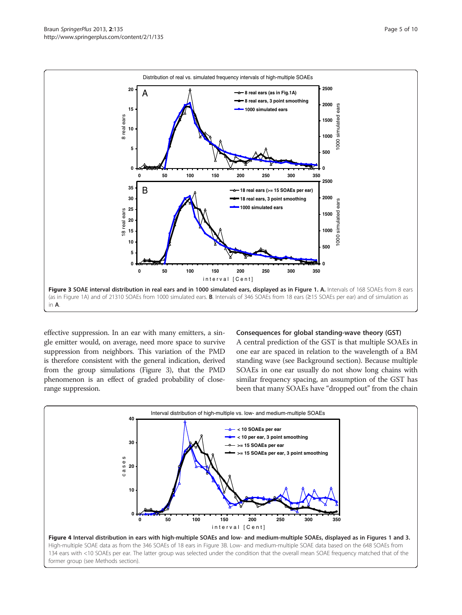<span id="page-4-0"></span>

effective suppression. In an ear with many emitters, a single emitter would, on average, need more space to survive suppression from neighbors. This variation of the PMD is therefore consistent with the general indication, derived from the group simulations (Figure 3), that the PMD phenomenon is an effect of graded probability of closerange suppression.

#### Consequences for global standing-wave theory (GST)

A central prediction of the GST is that multiple SOAEs in one ear are spaced in relation to the wavelength of a BM standing wave (see [Background](#page-0-0) section). Because multiple SOAEs in one ear usually do not show long chains with similar frequency spacing, an assumption of the GST has been that many SOAEs have "dropped out" from the chain

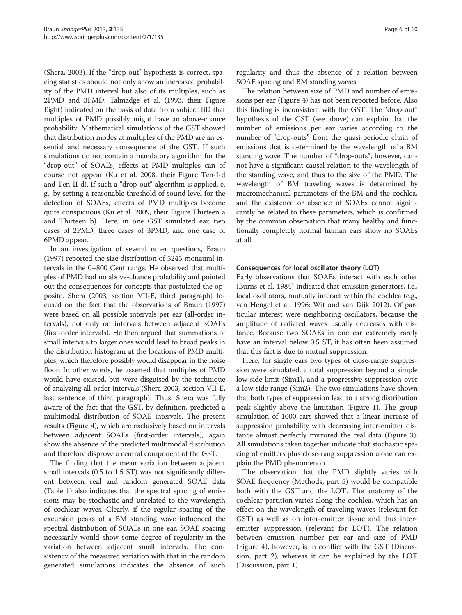(Shera, [2003\)](#page-9-0). If the "drop-out" hypothesis is correct, spacing statistics should not only show an increased probability of the PMD interval but also of its multiples, such as 2PMD and 3PMD. Talmadge et al. [\(1993](#page-9-0), their Figure Eight) indicated on the basis of data from subject BD that multiples of PMD possibly might have an above-chance probability. Mathematical simulations of the GST showed that distribution modes at multiples of the PMD are an essential and necessary consequence of the GST. If such simulations do not contain a mandatory algorithm for the "drop-out" of SOAEs, effects at PMD multiples can of course not appear (Ku et al. [2008](#page-9-0), their Figure Ten-I-d and Ten-II-d). If such a "drop-out" algorithm is applied, e. g., by setting a reasonable threshold of sound level for the detection of SOAEs, effects of PMD multiples become quite conspicuous (Ku et al. [2009](#page-9-0), their Figure Thirteen a and Thirteen b). Here, in one GST simulated ear, two cases of 2PMD, three cases of 3PMD, and one case of 6PMD appear.

In an investigation of several other questions, Braun ([1997\)](#page-8-0) reported the size distribution of 5245 monaural intervals in the 0–800 Cent range. He observed that multiples of PMD had no above-chance probability and pointed out the consequences for concepts that postulated the opposite. Shera ([2003](#page-9-0), section VII-E, third paragraph) focused on the fact that the observations of Braun [\(1997](#page-8-0)) were based on all possible intervals per ear (all-order intervals), not only on intervals between adjacent SOAEs (first-order intervals). He then argued that summations of small intervals to larger ones would lead to broad peaks in the distribution histogram at the locations of PMD multiples, which therefore possibly would disappear in the noise floor. In other words, he asserted that multiples of PMD would have existed, but were disguised by the technique of analyzing all-order intervals (Shera [2003,](#page-9-0) section VII-E, last sentence of third paragraph). Thus, Shera was fully aware of the fact that the GST, by definition, predicted a multimodal distribution of SOAE intervals. The present results (Figure [4\)](#page-4-0), which are exclusively based on intervals between adjacent SOAEs (first-order intervals), again show the absence of the predicted multimodal distribution and therefore disprove a central component of the GST.

The finding that the mean variation between adjacent small intervals (0.5 to 1.5 ST) was not significantly different between real and random generated SOAE data (Table [1\)](#page-3-0) also indicates that the spectral spacing of emissions may be stochastic and unrelated to the wavelength of cochlear waves. Clearly, if the regular spacing of the excursion peaks of a BM standing wave influenced the spectral distribution of SOAEs in one ear, SOAE spacing necessarily would show some degree of regularity in the variation between adjacent small intervals. The consistency of the measured variation with that in the random generated simulations indicates the absence of such

regularity and thus the absence of a relation between SOAE spacing and BM standing waves.

The relation between size of PMD and number of emissions per ear (Figure [4](#page-4-0)) has not been reported before. Also this finding is inconsistent with the GST. The "drop-out" hypothesis of the GST (see above) can explain that the number of emissions per ear varies according to the number of "drop-outs" from the quasi-periodic chain of emissions that is determined by the wavelength of a BM standing wave. The number of "drop-outs", however, cannot have a significant causal relation to the wavelength of the standing wave, and thus to the size of the PMD. The wavelength of BM traveling waves is determined by macromechanical parameters of the BM and the cochlea, and the existence or absence of SOAEs cannot significantly be related to these parameters, which is confirmed by the common observation that many healthy and functionally completely normal human ears show no SOAEs at all.

## Consequences for local oscillator theory (LOT)

Early observations that SOAEs interact with each other (Burns et al. [1984](#page-9-0)) indicated that emission generators, i.e., local oscillators, mutually interact within the cochlea (e.g., van Hengel et al. [1996;](#page-9-0) Wit and van Dijk [2012](#page-9-0)). Of particular interest were neighboring oscillators, because the amplitude of radiated waves usually decreases with distance. Because two SOAEs in one ear extremely rarely have an interval below 0.5 ST, it has often been assumed that this fact is due to mutual suppression.

Here, for single ears two types of close-range suppression were simulated, a total suppression beyond a simple low-side limit (Sim1), and a progressive suppression over a low-side range (Sim2). The two simulations have shown that both types of suppression lead to a strong distribution peak slightly above the limitation (Figure [1](#page-1-0)). The group simulation of 1000 ears showed that a linear increase of suppression probability with decreasing inter-emitter distance almost perfectly mirrored the real data (Figure [3](#page-4-0)). All simulations taken together indicate that stochastic spacing of emitters plus close-rang suppression alone can explain the PMD phenomenon.

The observation that the PMD slightly varies with SOAE frequency (Methods, part 5) would be compatible both with the GST and the LOT. The anatomy of the cochlear partition varies along the cochlea, which has an effect on the wavelength of traveling waves (relevant for GST) as well as on inter-emitter tissue and thus interemitter suppression (relevant for LOT). The relation between emission number per ear and size of PMD (Figure [4\)](#page-4-0), however, is in conflict with the GST ([Discus](#page-3-0)[sion,](#page-3-0) part 2), whereas it can be explained by the LOT ([Discussion, part 1](#page-3-0)).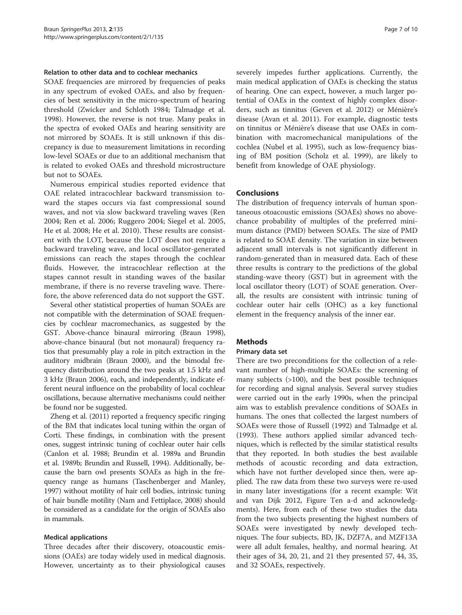#### <span id="page-6-0"></span>Relation to other data and to cochlear mechanics

SOAE frequencies are mirrored by frequencies of peaks in any spectrum of evoked OAEs, and also by frequencies of best sensitivity in the micro-spectrum of hearing threshold (Zwicker and Schloth [1984](#page-9-0); Talmadge et al. [1998](#page-9-0)). However, the reverse is not true. Many peaks in the spectra of evoked OAEs and hearing sensitivity are not mirrored by SOAEs. It is still unknown if this discrepancy is due to measurement limitations in recording low-level SOAEs or due to an additional mechanism that is related to evoked OAEs and threshold microstructure but not to SOAEs.

Numerous empirical studies reported evidence that OAE related intracochlear backward transmission toward the stapes occurs via fast compressional sound waves, and not via slow backward traveling waves (Ren [2004;](#page-9-0) Ren et al. [2006](#page-9-0); Ruggero [2004;](#page-9-0) Siegel et al. [2005](#page-9-0), He et al. [2008](#page-9-0); He et al. [2010\)](#page-9-0). These results are consistent with the LOT, because the LOT does not require a backward traveling wave, and local oscillator-generated emissions can reach the stapes through the cochlear fluids. However, the intracochlear reflection at the stapes cannot result in standing waves of the basilar membrane, if there is no reverse traveling wave. Therefore, the above referenced data do not support the GST.

Several other statistical properties of human SOAEs are not compatible with the determination of SOAE frequencies by cochlear macromechanics, as suggested by the GST. Above-chance binaural mirroring (Braun [1998](#page-8-0)), above-chance binaural (but not monaural) frequency ratios that presumably play a role in pitch extraction in the auditory midbrain (Braun [2000](#page-8-0)), and the bimodal frequency distribution around the two peaks at 1.5 kHz and 3 kHz (Braun [2006](#page-9-0)), each, and independently, indicate efferent neural influence on the probability of local cochlear oscillations, because alternative mechanisms could neither be found nor be suggested.

Zheng et al. [\(2011](#page-9-0)) reported a frequency specific ringing of the BM that indicates local tuning within the organ of Corti. These findings, in combination with the present ones, suggest intrinsic tuning of cochlear outer hair cells (Canlon et al. [1988;](#page-9-0) Brundin et al. [1989a](#page-9-0) and Brundin et al. [1989b;](#page-9-0) Brundin and Russell, [1994](#page-9-0)). Additionally, because the barn owl presents SOAEs as high in the frequency range as humans (Taschenberger and Manley, [1997\)](#page-9-0) without motility of hair cell bodies, intrinsic tuning of hair bundle motility (Nam and Fettiplace, [2008\)](#page-9-0) should be considered as a candidate for the origin of SOAEs also in mammals.

#### Medical applications

Three decades after their discovery, otoacoustic emissions (OAEs) are today widely used in medical diagnosis. However, uncertainty as to their physiological causes severely impedes further applications. Currently, the main medical application of OAEs is checking the status of hearing. One can expect, however, a much larger potential of OAEs in the context of highly complex disorders, such as tinnitus (Geven et al. [2012\)](#page-9-0) or Ménière's disease (Avan et al. [2011\)](#page-8-0). For example, diagnostic tests on tinnitus or Ménière's disease that use OAEs in combination with macromechanical manipulations of the cochlea (Nubel et al. [1995\)](#page-9-0), such as low-frequency biasing of BM position (Scholz et al. [1999\)](#page-9-0), are likely to benefit from knowledge of OAE physiology.

#### Conclusions

The distribution of frequency intervals of human spontaneous otoacoustic emissions (SOAEs) shows no abovechance probability of multiples of the preferred minimum distance (PMD) between SOAEs. The size of PMD is related to SOAE density. The variation in size between adjacent small intervals is not significantly different in random-generated than in measured data. Each of these three results is contrary to the predictions of the global standing-wave theory (GST) but in agreement with the local oscillator theory (LOT) of SOAE generation. Overall, the results are consistent with intrinsic tuning of cochlear outer hair cells (OHC) as a key functional element in the frequency analysis of the inner ear.

## Methods

#### Primary data set

There are two preconditions for the collection of a relevant number of high-multiple SOAEs: the screening of many subjects (>100), and the best possible techniques for recording and signal analysis. Several survey studies were carried out in the early 1990s, when the principal aim was to establish prevalence conditions of SOAEs in humans. The ones that collected the largest numbers of SOAEs were those of Russell [\(1992\)](#page-9-0) and Talmadge et al. ([1993\)](#page-9-0). These authors applied similar advanced techniques, which is reflected by the similar statistical results that they reported. In both studies the best available methods of acoustic recording and data extraction, which have not further developed since then, were applied. The raw data from these two surveys were re-used in many later investigations (for a recent example: Wit and van Dijk [2012](#page-9-0), Figure Ten a-d and acknowledgments). Here, from each of these two studies the data from the two subjects presenting the highest numbers of SOAEs were investigated by newly developed techniques. The four subjects, BD, JK, DZF7A, and MZF13A were all adult females, healthy, and normal hearing. At their ages of 34, 20, 21, and 21 they presented 57, 44, 35, and 32 SOAEs, respectively.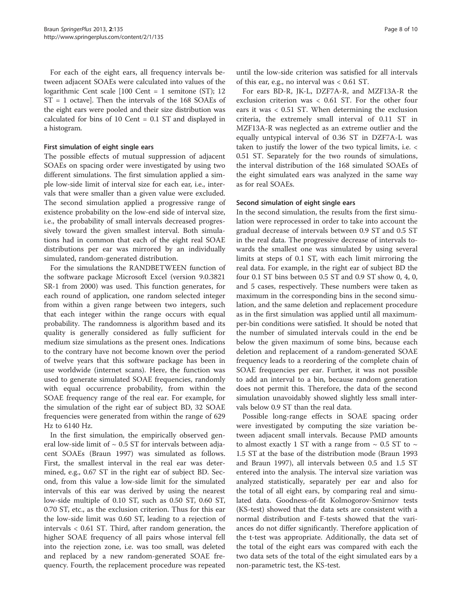For each of the eight ears, all frequency intervals between adjacent SOAEs were calculated into values of the logarithmic Cent scale [100 Cent = 1 semitone (ST); 12 ST = 1 octave]. Then the intervals of the 168 SOAEs of the eight ears were pooled and their size distribution was calculated for bins of 10 Cent = 0.1 ST and displayed in a histogram.

#### First simulation of eight single ears

The possible effects of mutual suppression of adjacent SOAEs on spacing order were investigated by using two different simulations. The first simulation applied a simple low-side limit of interval size for each ear, i.e., intervals that were smaller than a given value were excluded. The second simulation applied a progressive range of existence probability on the low-end side of interval size, i.e., the probability of small intervals decreased progressively toward the given smallest interval. Both simulations had in common that each of the eight real SOAE distributions per ear was mirrored by an individually simulated, random-generated distribution.

For the simulations the RANDBETWEEN function of the software package Microsoft Excel (version 9.0.3821 SR-1 from 2000) was used. This function generates, for each round of application, one random selected integer from within a given range between two integers, such that each integer within the range occurs with equal probability. The randomness is algorithm based and its quality is generally considered as fully sufficient for medium size simulations as the present ones. Indications to the contrary have not become known over the period of twelve years that this software package has been in use worldwide (internet scans). Here, the function was used to generate simulated SOAE frequencies, randomly with equal occurrence probability, from within the SOAE frequency range of the real ear. For example, for the simulation of the right ear of subject BD, 32 SOAE frequencies were generated from within the range of 629 Hz to 6140 Hz.

In the first simulation, the empirically observed general low-side limit of  $\sim 0.5$  ST for intervals between adjacent SOAEs (Braun [1997\)](#page-8-0) was simulated as follows. First, the smallest interval in the real ear was determined, e.g., 0.67 ST in the right ear of subject BD. Second, from this value a low-side limit for the simulated intervals of this ear was derived by using the nearest low-side multiple of 0.10 ST, such as 0.50 ST, 0.60 ST, 0.70 ST, etc., as the exclusion criterion. Thus for this ear the low-side limit was 0.60 ST, leading to a rejection of intervals < 0.61 ST. Third, after random generation, the higher SOAE frequency of all pairs whose interval fell into the rejection zone, i.e. was too small, was deleted and replaced by a new random-generated SOAE frequency. Fourth, the replacement procedure was repeated

until the low-side criterion was satisfied for all intervals of this ear, e.g., no interval was < 0.61 ST.

For ears BD-R, JK-L, DZF7A-R, and MZF13A-R the exclusion criterion was < 0.61 ST. For the other four ears it was < 0.51 ST. When determining the exclusion criteria, the extremely small interval of 0.11 ST in MZF13A-R was neglected as an extreme outlier and the equally untypical interval of 0.36 ST in DZF7A-L was taken to justify the lower of the two typical limits, i.e. < 0.51 ST. Separately for the two rounds of simulations, the interval distribution of the 168 simulated SOAEs of the eight simulated ears was analyzed in the same way as for real SOAEs.

#### Second simulation of eight single ears

In the second simulation, the results from the first simulation were reprocessed in order to take into account the gradual decrease of intervals between 0.9 ST and 0.5 ST in the real data. The progressive decrease of intervals towards the smallest one was simulated by using several limits at steps of 0.1 ST, with each limit mirroring the real data. For example, in the right ear of subject BD the four 0.1 ST bins between 0.5 ST and 0.9 ST show 0, 4, 0, and 5 cases, respectively. These numbers were taken as maximum in the corresponding bins in the second simulation, and the same deletion and replacement procedure as in the first simulation was applied until all maximumper-bin conditions were satisfied. It should be noted that the number of simulated intervals could in the end be below the given maximum of some bins, because each deletion and replacement of a random-generated SOAE frequency leads to a reordering of the complete chain of SOAE frequencies per ear. Further, it was not possible to add an interval to a bin, because random generation does not permit this. Therefore, the data of the second simulation unavoidably showed slightly less small intervals below 0.9 ST than the real data.

Possible long-range effects in SOAE spacing order were investigated by computing the size variation between adjacent small intervals. Because PMD amounts to almost exactly 1 ST with a range from  $\sim$  0.5 ST to  $\sim$ 1.5 ST at the base of the distribution mode (Braun [1993](#page-8-0) and Braun [1997](#page-8-0)), all intervals between 0.5 and 1.5 ST entered into the analysis. The interval size variation was analyzed statistically, separately per ear and also for the total of all eight ears, by comparing real and simulated data. Goodness-of-fit Kolmogorov-Smirnov tests (KS-test) showed that the data sets are consistent with a normal distribution and F-tests showed that the variances do not differ significantly. Therefore application of the t-test was appropriate. Additionally, the data set of the total of the eight ears was compared with each the two data sets of the total of the eight simulated ears by a non-parametric test, the KS-test.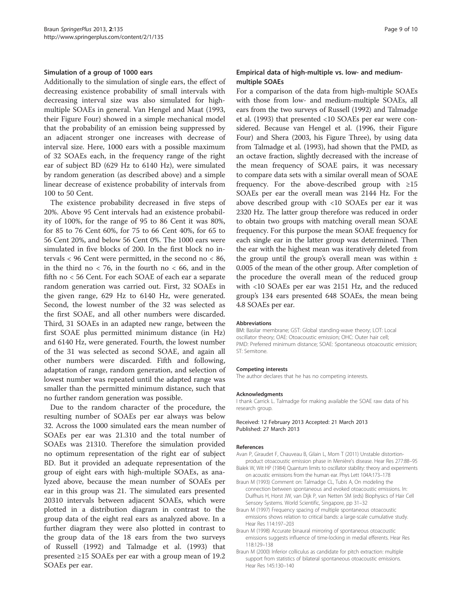#### <span id="page-8-0"></span>Simulation of a group of 1000 ears

Additionally to the simulation of single ears, the effect of decreasing existence probability of small intervals with decreasing interval size was also simulated for highmultiple SOAEs in general. Van Hengel and Maat ([1993](#page-9-0), their Figure Four) showed in a simple mechanical model that the probability of an emission being suppressed by an adjacent stronger one increases with decrease of interval size. Here, 1000 ears with a possible maximum of 32 SOAEs each, in the frequency range of the right ear of subject BD (629 Hz to 6140 Hz), were simulated by random generation (as described above) and a simple linear decrease of existence probability of intervals from 100 to 50 Cent.

The existence probability decreased in five steps of 20%. Above 95 Cent intervals had an existence probability of 100%, for the range of 95 to 86 Cent it was 80%, for 85 to 76 Cent 60%, for 75 to 66 Cent 40%, for 65 to 56 Cent 20%, and below 56 Cent 0%. The 1000 ears were simulated in five blocks of 200. In the first block no intervals < 96 Cent were permitted, in the second no < 86, in the third no  $<$  76, in the fourth no  $<$  66, and in the fifth no < 56 Cent. For each SOAE of each ear a separate random generation was carried out. First, 32 SOAEs in the given range, 629 Hz to 6140 Hz, were generated. Second, the lowest number of the 32 was selected as the first SOAE, and all other numbers were discarded. Third, 31 SOAEs in an adapted new range, between the first SOAE plus permitted minimum distance (in Hz) and 6140 Hz, were generated. Fourth, the lowest number of the 31 was selected as second SOAE, and again all other numbers were discarded. Fifth and following, adaptation of range, random generation, and selection of lowest number was repeated until the adapted range was smaller than the permitted minimum distance, such that no further random generation was possible.

Due to the random character of the procedure, the resulting number of SOAEs per ear always was below 32. Across the 1000 simulated ears the mean number of SOAEs per ear was 21.310 and the total number of SOAEs was 21310. Therefore the simulation provided no optimum representation of the right ear of subject BD. But it provided an adequate representation of the group of eight ears with high-multiple SOAEs, as analyzed above, because the mean number of SOAEs per ear in this group was 21. The simulated ears presented 20310 intervals between adjacent SOAEs, which were plotted in a distribution diagram in contrast to the group data of the eight real ears as analyzed above. In a further diagram they were also plotted in contrast to the group data of the 18 ears from the two surveys of Russell ([1992](#page-9-0)) and Talmadge et al. [\(1993](#page-9-0)) that presented ≥15 SOAEs per ear with a group mean of 19.2 SOAEs per ear.

#### Empirical data of high-multiple vs. low- and mediummultiple SOAEs

For a comparison of the data from high-multiple SOAEs with those from low- and medium-multiple SOAEs, all ears from the two surveys of Russell ([1992\)](#page-9-0) and Talmadge et al. [\(1993\)](#page-9-0) that presented <10 SOAEs per ear were considered. Because van Hengel et al. [\(1996,](#page-9-0) their Figure Four) and Shera [\(2003,](#page-9-0) his Figure Three), by using data from Talmadge et al. ([1993](#page-9-0)), had shown that the PMD, as an octave fraction, slightly decreased with the increase of the mean frequency of SOAE pairs, it was necessary to compare data sets with a similar overall mean of SOAE frequency. For the above-described group with  $\geq 15$ SOAEs per ear the overall mean was 2144 Hz. For the above described group with <10 SOAEs per ear it was 2320 Hz. The latter group therefore was reduced in order to obtain two groups with matching overall mean SOAE frequency. For this purpose the mean SOAE frequency for each single ear in the latter group was determined. Then the ear with the highest mean was iteratively deleted from the group until the group's overall mean was within  $\pm$ 0.005 of the mean of the other group. After completion of the procedure the overall mean of the reduced group with <10 SOAEs per ear was 2151 Hz, and the reduced group's 134 ears presented 648 SOAEs, the mean being 4.8 SOAEs per ear.

#### Abbreviations

BM: Basilar membrane; GST: Global standing-wave theory; LOT: Local oscillator theory; OAE: Otoacoustic emission; OHC: Outer hair cell; PMD: Preferred minimum distance; SOAE: Spontaneous otoacoustic emission; ST: Semitone.

#### Competing interests

The author declares that he has no competing interests.

#### Acknowledgments

I thank Carrick L. Talmadge for making available the SOAE raw data of his research group.

Received: 12 February 2013 Accepted: 21 March 2013 Published: 27 March 2013

#### References

- Avan P, Giraudet F, Chauveau B, Gilain L, Mom T (2011) Unstable distortionproduct otoacoustic emission phase in Menière's disease. Hear Res 277:88–95
- Bialek W, Wit HP (1984) Quantum limits to oscillator stability: theory and experiments on acoustic emissions from the human ear. Phys Lett 104A:173–178
- Braun M (1993) Comment on: Talmadge CL, Tubis A, On modeling the connection between spontaneous and evoked otoacoustic emissions. In: Duifhuis H, Horst JW, van Dijk P, van Netten SM (eds) Biophysics of Hair Cell Sensory Systems. World Scientific, Singapore, pp 31–32
- Braun M (1997) Frequency spacing of multiple spontaneous otoacoustic emissions shows relation to critical bands: a large-scale cumulative study. Hear Res 114:197–203
- Braun M (1998) Accurate binaural mirroring of spontaneous otoacoustic emissions suggests influence of time-locking in medial efferents. Hear Res 118:129–138
- Braun M (2000) Inferior colliculus as candidate for pitch extraction: multiple support from statistics of bilateral spontaneous otoacoustic emissions. Hear Res 145:130–140